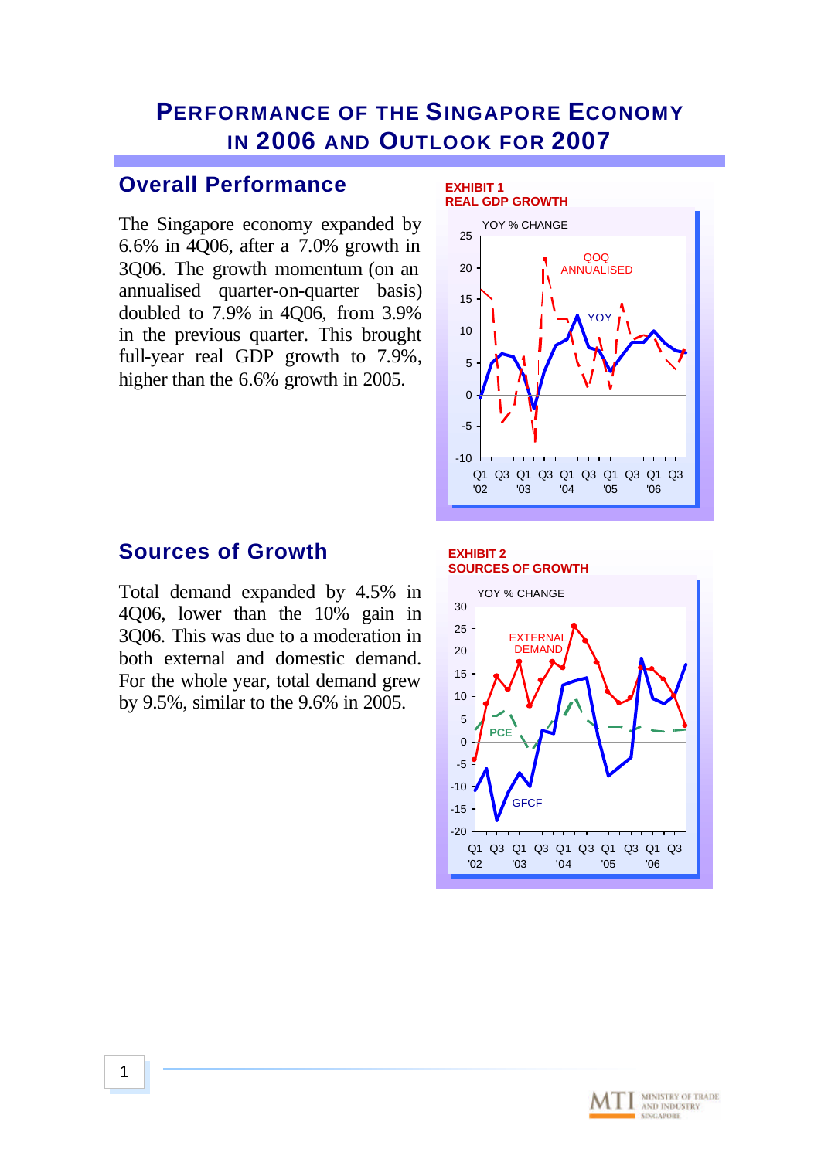# **PERFORMANCE OF THE SINGAPORE ECONOMY IN 2006 AND OUTLOOK FOR 2007**

### **Overall Performance**

The Singapore economy expanded by 6.6% in 4Q06, after a 7.0% growth in 3Q06. The growth momentum (on an annualised quarter-on-quarter basis) doubled to 7.9% in 4Q06, from 3.9% in the previous quarter. This brought full-year real GDP growth to 7.9%, higher than the 6.6% growth in 2005.



## **Sources of Growth**

Total demand expanded by 4.5% in 4Q06, lower than the 10% gain in 3Q06. This was due to a moderation in both external and domestic demand. For the whole year, total demand grew by 9.5%, similar to the 9.6% in 2005.

#### **EXHIBIT 2 SOURCES OF GROWTH**



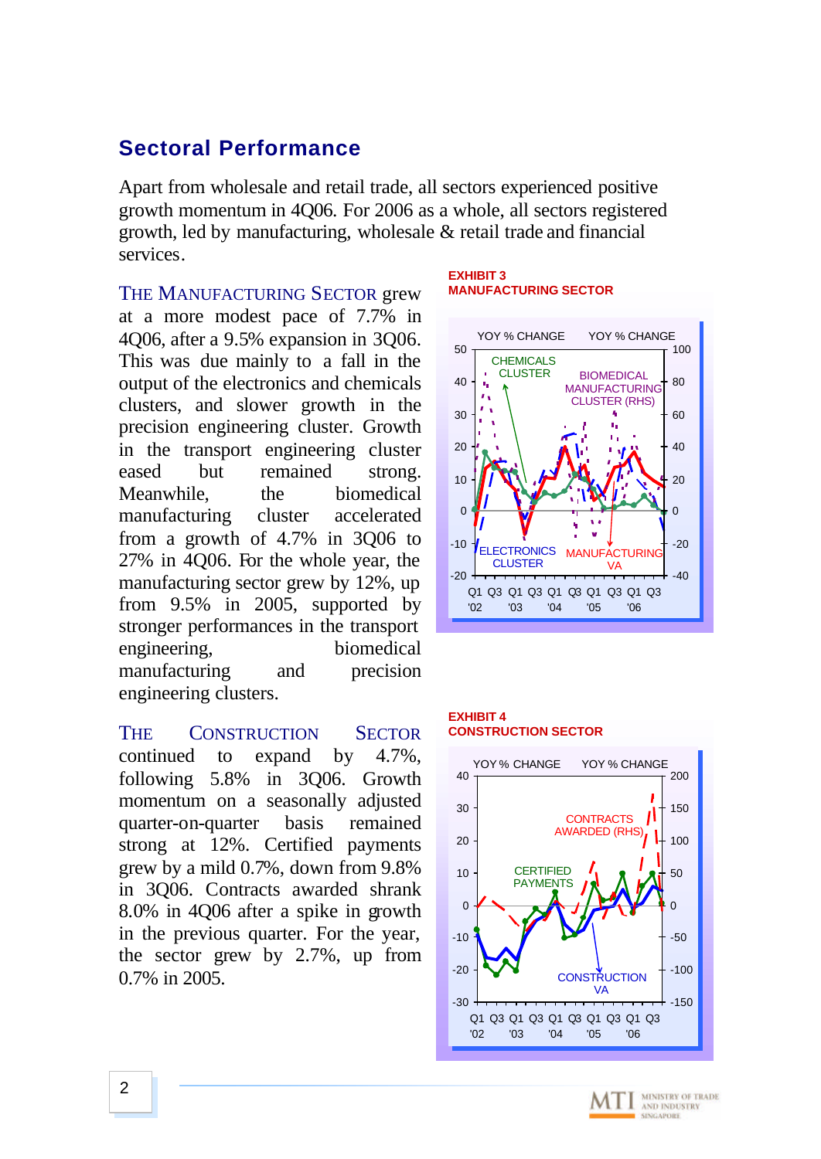## **Sectoral Performance**

Apart from wholesale and retail trade, all sectors experienced positive growth momentum in 4Q06. For 2006 as a whole, all sectors registered growth, led by manufacturing, wholesale & retail trade and financial services.

THE MANUFACTURING SECTOR grew at a more modest pace of 7.7% in 4Q06, after a 9.5% expansion in 3Q06. This was due mainly to a fall in the output of the electronics and chemicals clusters, and slower growth in the precision engineering cluster. Growth in the transport engineering cluster eased but remained strong. Meanwhile, the biomedical manufacturing cluster accelerated from a growth of 4.7% in 3Q06 to 27% in 4Q06. For the whole year, the manufacturing sector grew by 12%, up from 9.5% in 2005, supported by stronger performances in the transport engineering, biomedical manufacturing and precision engineering clusters.

THE CONSTRUCTION SECTOR continued to expand by 4.7%, following 5.8% in 3Q06. Growth momentum on a seasonally adjusted quarter-on-quarter basis remained strong at 12%. Certified payments grew by a mild 0.7%, down from 9.8% in 3Q06. Contracts awarded shrank 8.0% in 4Q06 after a spike in growth in the previous quarter. For the year, the sector grew by 2.7%, up from 0.7% in 2005.

#### **EXHIBIT 3 MANUFACTURING SECTOR**



### **EXHIBIT 4 CONSTRUCTION SECTOR**



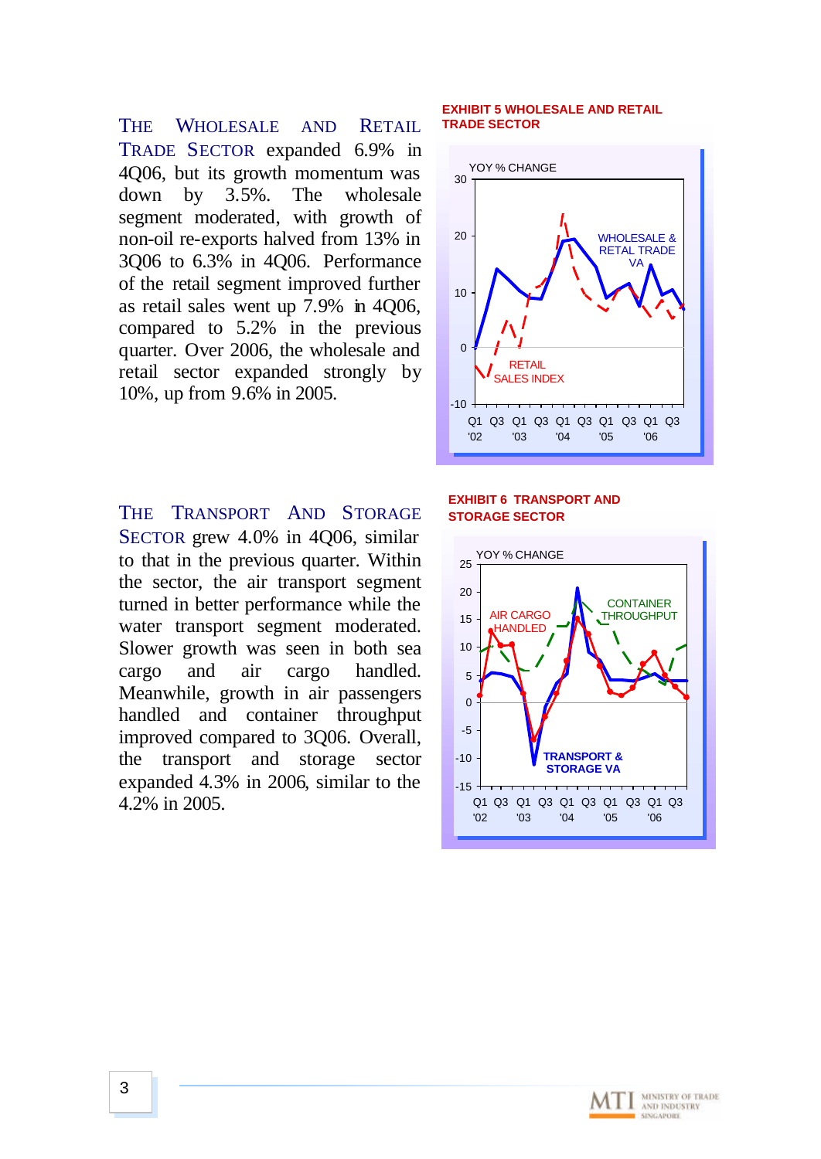THE WHOLESALE AND RETAIL TRADE SECTOR expanded 6.9% in 4Q06, but its growth momentum was down by 3.5%. The wholesale segment moderated, with growth of non-oil re-exports halved from 13% in 3Q06 to 6.3% in 4Q06. Performance of the retail segment improved further as retail sales went up 7.9% in 4Q06, compared to 5.2% in the previous quarter. Over 2006, the wholesale and retail sector expanded strongly by 10%, up from 9.6% in 2005.

THE TRANSPORT AND STORAGE SECTOR grew 4.0% in 4Q06, similar to that in the previous quarter. Within the sector, the air transport segment turned in better performance while the water transport segment moderated. Slower growth was seen in both sea cargo and air cargo handled. Meanwhile, growth in air passengers handled and container throughput improved compared to 3Q06. Overall, the transport and storage sector expanded 4.3% in 2006, similar to the 4.2% in 2005.

### **EXHIBIT 5 WHOLESALE AND RETAIL TRADE SECTOR**



### **EXHIBIT 6 TRANSPORT AND STORAGE SECTOR**



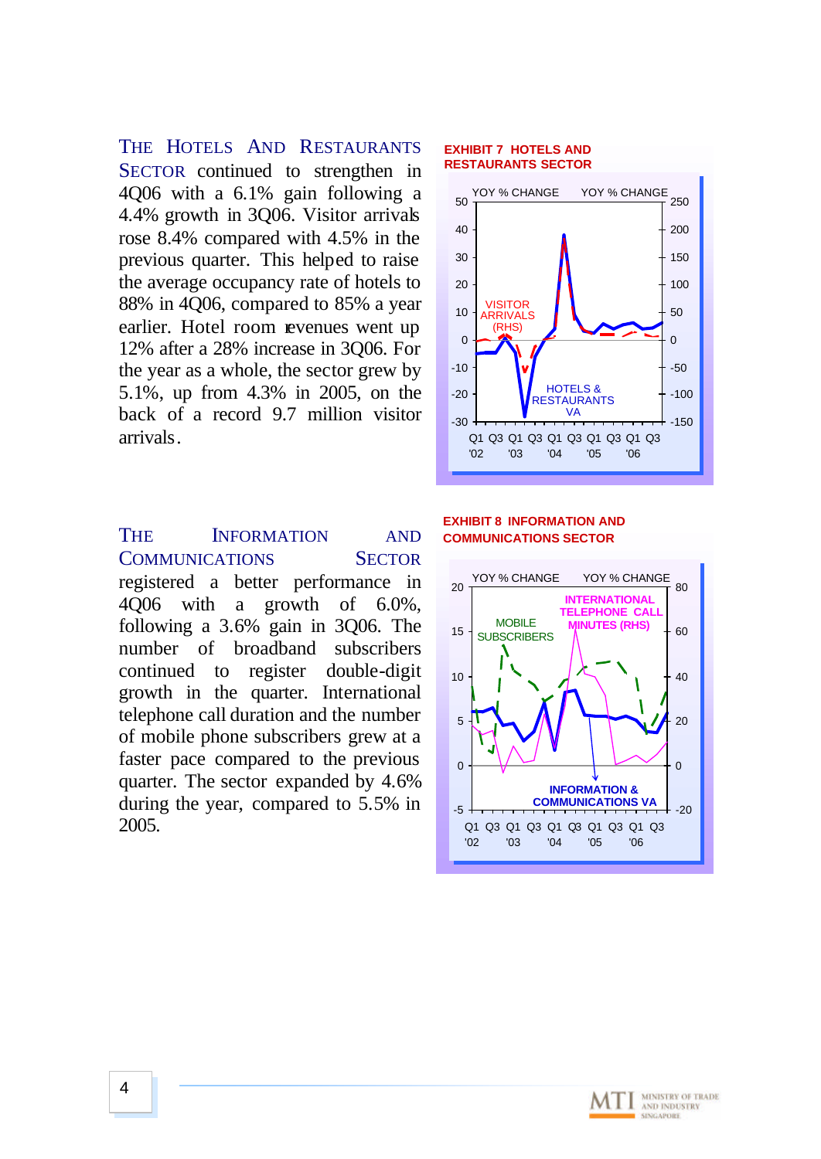THE HOTELS AND RESTAURANTS SECTOR continued to strengthen in 4Q06 with a 6.1% gain following a 4.4% growth in 3Q06. Visitor arrivals rose 8.4% compared with 4.5% in the previous quarter. This helped to raise the average occupancy rate of hotels to 88% in 4Q06, compared to 85% a year earlier. Hotel room revenues went up 12% after a 28% increase in 3Q06. For the year as a whole, the sector grew by 5.1%, up from 4.3% in 2005, on the back of a record 9.7 million visitor arrivals.

THE **INFORMATION** AND COMMUNICATIONS SECTOR registered a better performance in 4Q06 with a growth of 6.0%, following a 3.6% gain in 3Q06. The number of broadband subscribers continued to register double-digit growth in the quarter. International telephone call duration and the number of mobile phone subscribers grew at a faster pace compared to the previous quarter. The sector expanded by 4.6% during the year, compared to 5.5% in 2005.

#### **EXHIBIT 7 HOTELS AND RESTAURANTS SECTOR**



### **EXHIBIT 8 INFORMATION AND COMMUNICATIONS SECTOR**



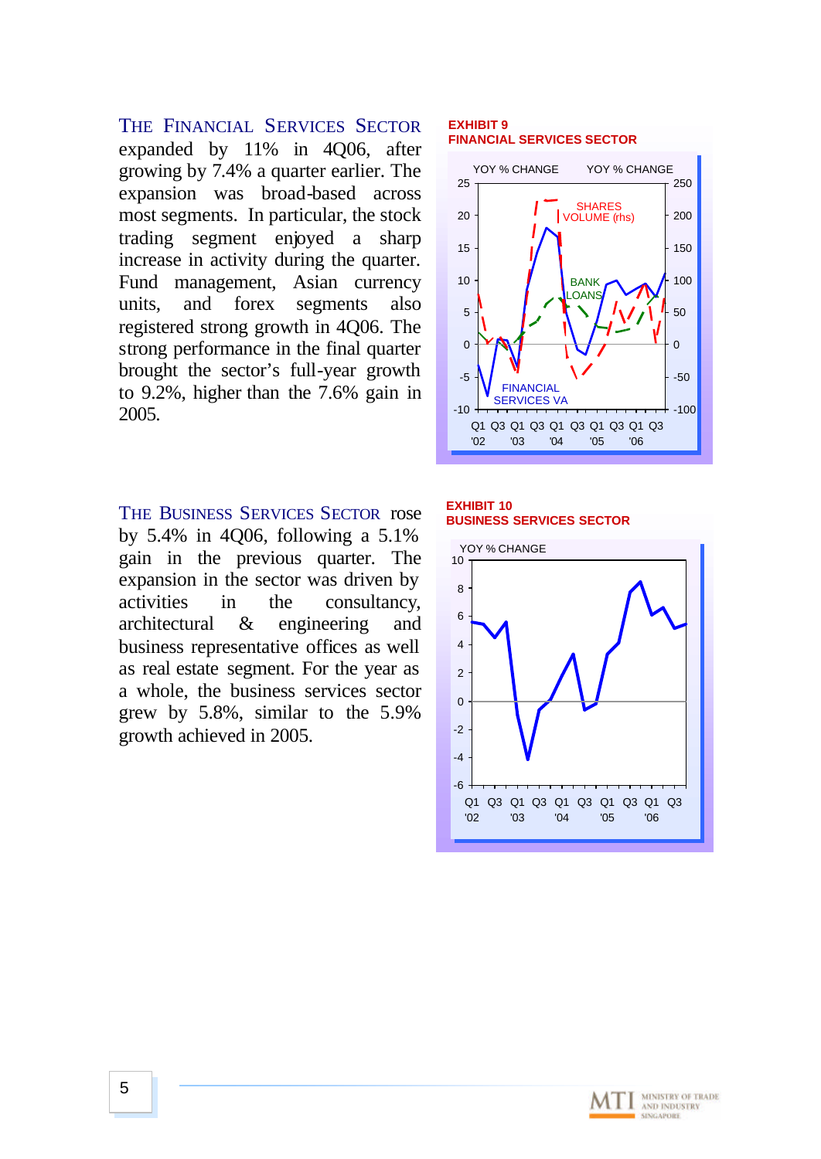THE FINANCIAL SERVICES SECTOR expanded by 11% in 4Q06, after growing by 7.4% a quarter earlier. The expansion was broad-based across most segments. In particular, the stock trading segment enjoyed a sharp increase in activity during the quarter. Fund management, Asian currency units, and forex segments also registered strong growth in 4Q06. The strong performance in the final quarter brought the sector's full-year growth to 9.2%, higher than the 7.6% gain in 2005.

THE BUSINESS SERVICES SECTOR rose by 5.4% in 4Q06, following a 5.1% gain in the previous quarter. The expansion in the sector was driven by activities in the consultancy, architectural & engineering and business representative offices as well as real estate segment. For the year as a whole, the business services sector grew by 5.8%, similar to the 5.9% growth achieved in 2005.

#### **EXHIBIT 9 FINANCIAL SERVICES SECTOR**



**EXHIBIT 10 BUSINESS SERVICES SECTOR**



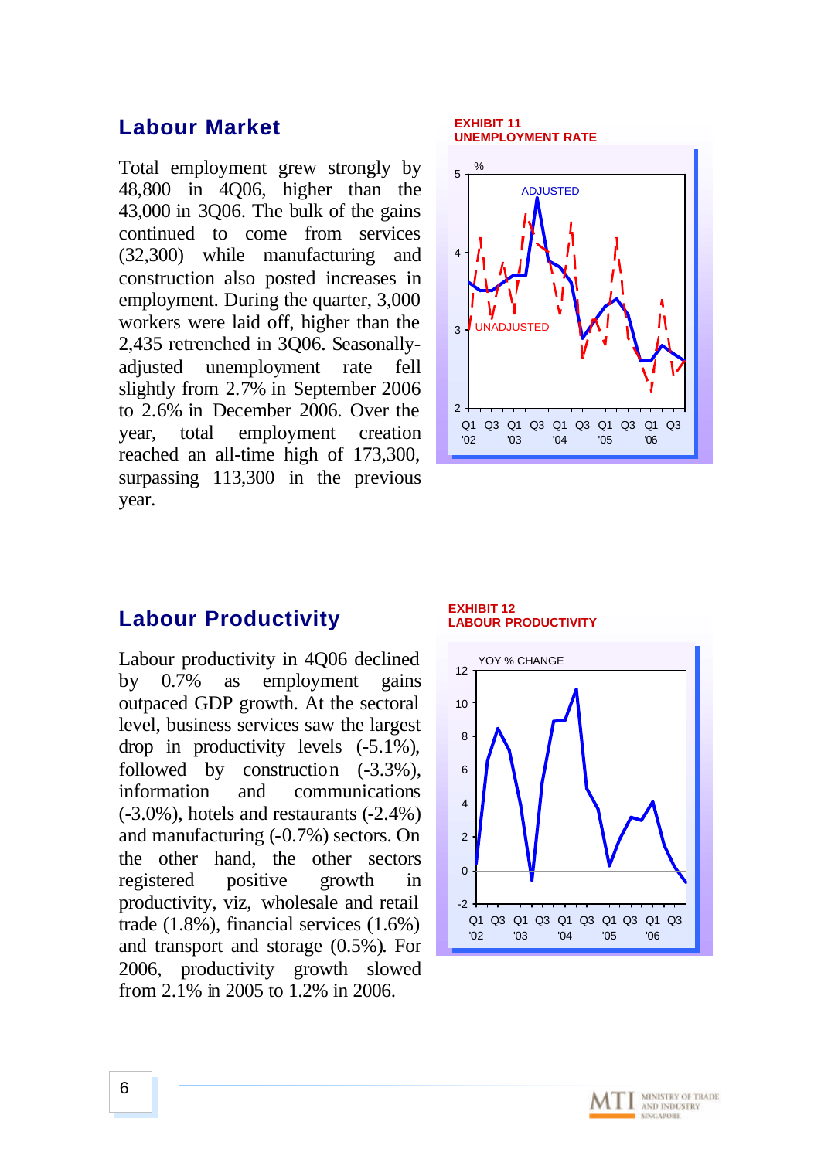### **Labour Market**

Total employment grew strongly by 48,800 in 4Q06, higher than the 43,000 in 3Q06. The bulk of the gains continued to come from services (32,300) while manufacturing and construction also posted increases in employment. During the quarter, 3,000 workers were laid off, higher than the 2,435 retrenched in 3Q06. Seasonallyadjusted unemployment rate fell slightly from 2.7% in September 2006 to 2.6% in December 2006. Over the year, total employment creation reached an all-time high of 173,300, surpassing 113,300 in the previous year.



### **Labour Productivity**

Labour productivity in 4Q06 declined by 0.7% as employment gains outpaced GDP growth. At the sectoral level, business services saw the largest drop in productivity levels (-5.1%), followed by construction  $(-3.3\%)$ , information and communications (-3.0%), hotels and restaurants (-2.4%) and manufacturing (-0.7%) sectors. On the other hand, the other sectors registered positive growth in productivity, viz, wholesale and retail trade (1.8%), financial services (1.6%) and transport and storage (0.5%). For 2006, productivity growth slowed from 2.1% in 2005 to 1.2% in 2006.





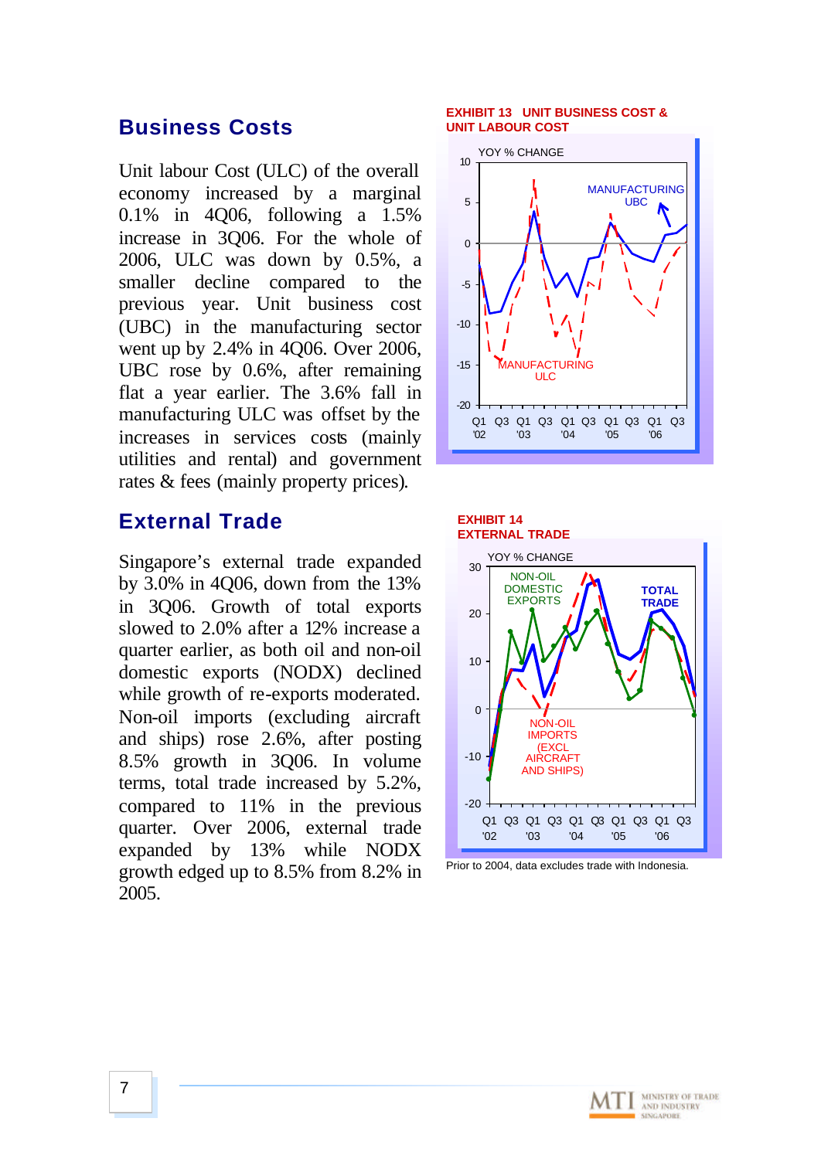## **Business Costs**

Unit labour Cost (ULC) of the overall economy increased by a marginal 0.1% in 4Q06, following a 1.5% increase in 3Q06. For the whole of 2006, ULC was down by 0.5%, a smaller decline compared to the previous year. Unit business cost (UBC) in the manufacturing sector went up by 2.4% in 4Q06. Over 2006, UBC rose by 0.6%, after remaining flat a year earlier. The 3.6% fall in manufacturing ULC was offset by the increases in services costs (mainly utilities and rental) and government rates & fees (mainly property prices).

## **External Trade**

Singapore's external trade expanded by 3.0% in 4Q06, down from the 13% in 3Q06. Growth of total exports slowed to 2.0% after a 12% increase a quarter earlier, as both oil and non-oil domestic exports (NODX) declined while growth of re-exports moderated. Non-oil imports (excluding aircraft and ships) rose 2.6%, after posting 8.5% growth in 3Q06. In volume terms, total trade increased by 5.2%, compared to 11% in the previous quarter. Over 2006, external trade expanded by 13% while NODX growth edged up to 8.5% from 8.2% in 2005.

### **EXHIBIT 13 UNIT BUSINESS COST & UNIT LABOUR COST**







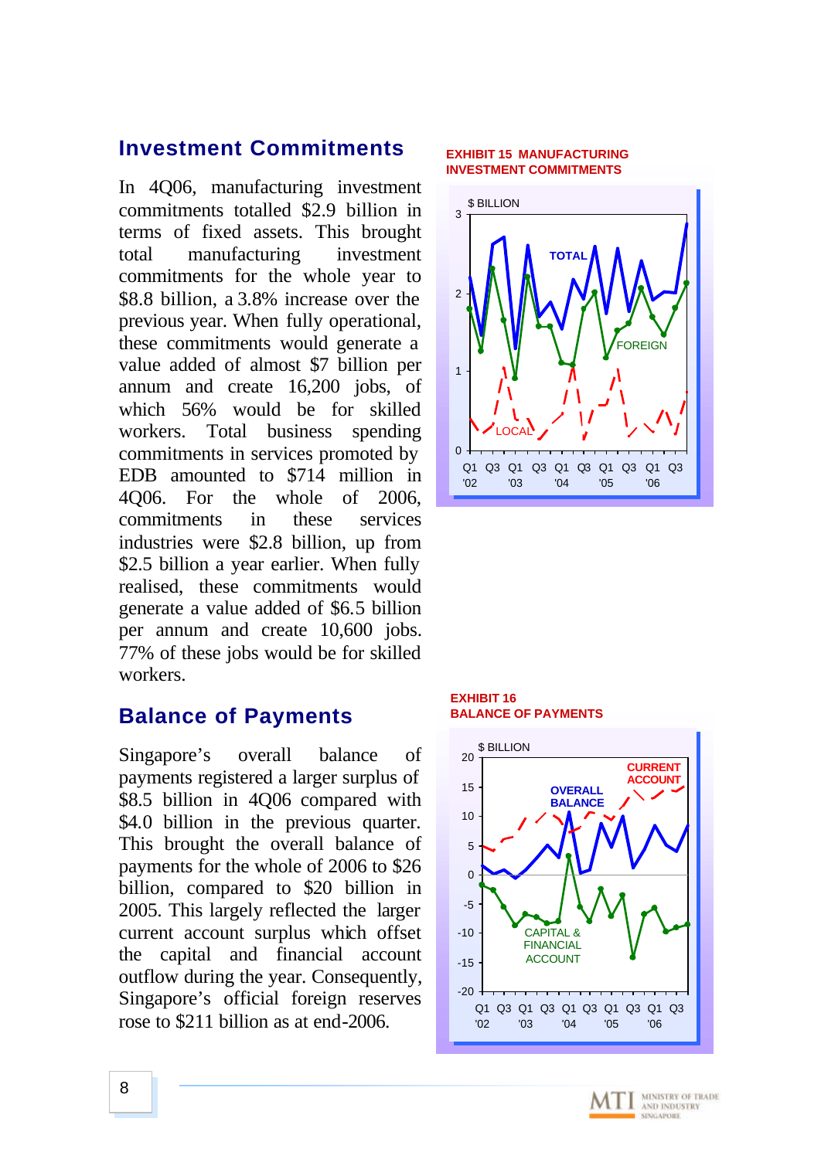### **Investment Commitments**

In 4Q06, manufacturing investment commitments totalled \$2.9 billion in terms of fixed assets. This brought total manufacturing investment commitments for the whole year to \$8.8 billion, a 3.8% increase over the previous year. When fully operational, these commitments would generate a value added of almost \$7 billion per annum and create 16,200 jobs, of which 56% would be for skilled workers. Total business spending commitments in services promoted by EDB amounted to \$714 million in 4Q06. For the whole of 2006, commitments in these services industries were \$2.8 billion, up from \$2.5 billion a year earlier. When fully realised, these commitments would generate a value added of \$6.5 billion per annum and create 10,600 jobs. 77% of these jobs would be for skilled workers.

### **Balance of Payments**

Singapore's overall balance of payments registered a larger surplus of \$8.5 billion in 4Q06 compared with \$4.0 billion in the previous quarter. This brought the overall balance of payments for the whole of 2006 to \$26 billion, compared to \$20 billion in 2005. This largely reflected the larger current account surplus which offset the capital and financial account outflow during the year. Consequently, Singapore's official foreign reserves rose to \$211 billion as at end-2006.

#### **EXHIBIT 15 MANUFACTURING INVESTMENT COMMITMENTS**



### **EXHIBIT 16 BALANCE OF PAYMENTS**



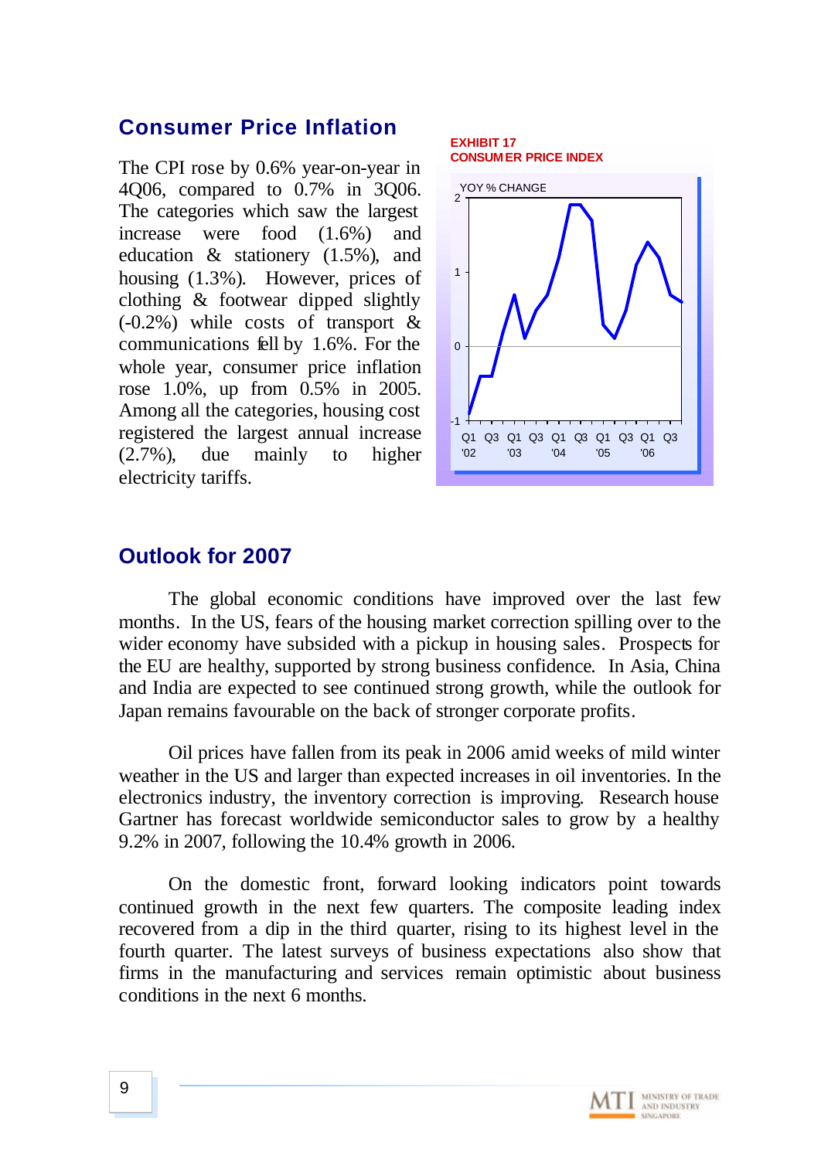## **Consumer Price Inflation**

The CPI rose by 0.6% year-on-year in 4Q06, compared to 0.7% in 3Q06. The categories which saw the largest increase were food (1.6%) and education & stationery (1.5%), and housing (1.3%). However, prices of clothing & footwear dipped slightly (-0.2%) while costs of transport & communications fell by 1.6%. For the whole year, consumer price inflation rose 1.0%, up from 0.5% in 2005. Among all the categories, housing cost registered the largest annual increase (2.7%), due mainly to higher electricity tariffs.



## **Outlook for 2007**

The global economic conditions have improved over the last few months. In the US, fears of the housing market correction spilling over to the wider economy have subsided with a pickup in housing sales. Prospects for the EU are healthy, supported by strong business confidence. In Asia, China and India are expected to see continued strong growth, while the outlook for Japan remains favourable on the back of stronger corporate profits.

Oil prices have fallen from its peak in 2006 amid weeks of mild winter weather in the US and larger than expected increases in oil inventories. In the electronics industry, the inventory correction is improving. Research house Gartner has forecast worldwide semiconductor sales to grow by a healthy 9.2% in 2007, following the 10.4% growth in 2006.

On the domestic front, forward looking indicators point towards continued growth in the next few quarters. The composite leading index recovered from a dip in the third quarter, rising to its highest level in the fourth quarter. The latest surveys of business expectations also show that firms in the manufacturing and services remain optimistic about business conditions in the next 6 months.

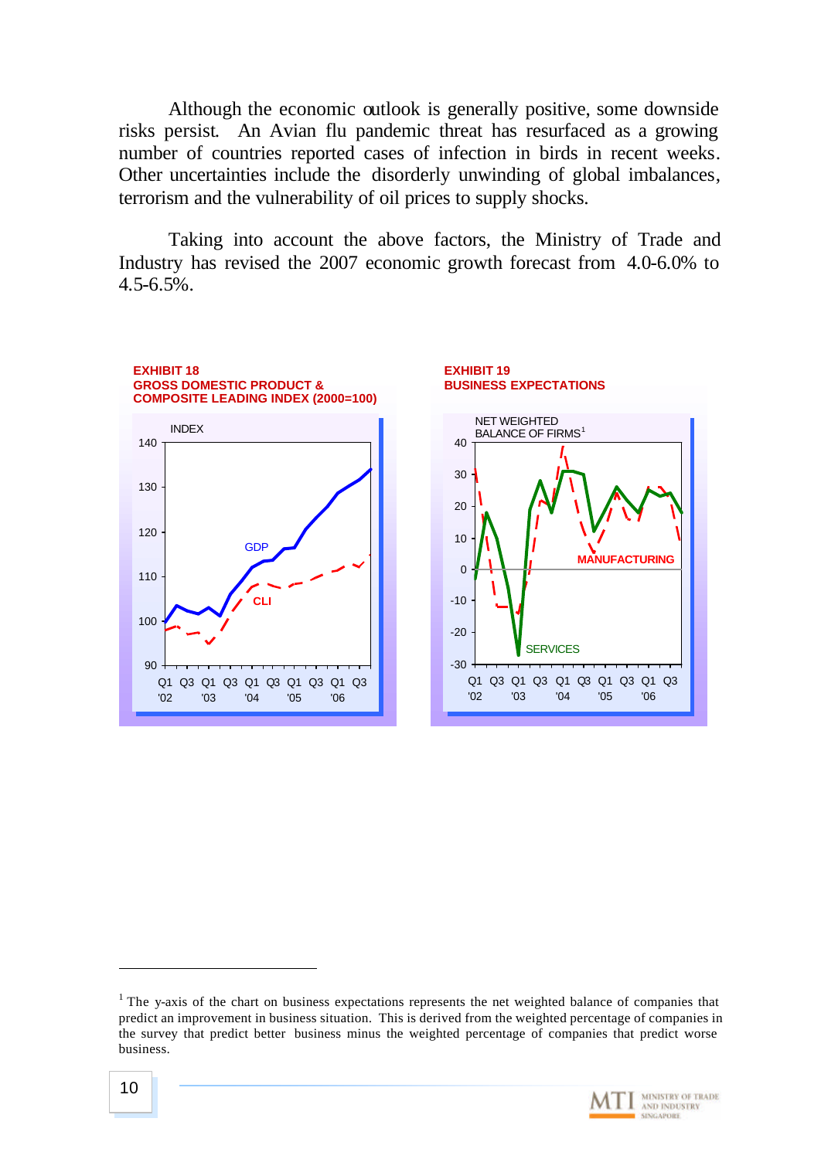Although the economic outlook is generally positive, some downside risks persist. An Avian flu pandemic threat has resurfaced as a growing number of countries reported cases of infection in birds in recent weeks. Other uncertainties include the disorderly unwinding of global imbalances, terrorism and the vulnerability of oil prices to supply shocks.

Taking into account the above factors, the Ministry of Trade and Industry has revised the 2007 economic growth forecast from 4.0-6.0% to  $4.5 - 6.5\%$ .



<sup>&</sup>lt;sup>1</sup> The y-axis of the chart on business expectations represents the net weighted balance of companies that predict an improvement in business situation. This is derived from the weighted percentage of companies in the survey that predict better business minus the weighted percentage of companies that predict worse business.



l